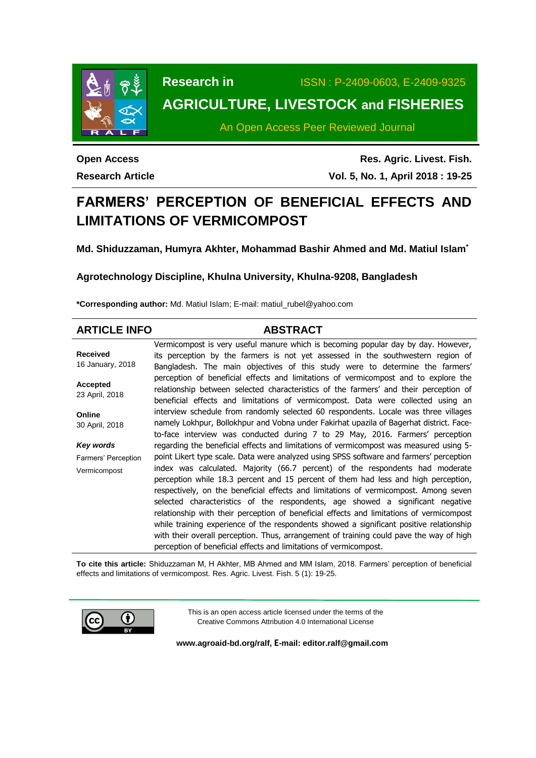

**Research in** ISSN : P-2409-0603, E-2409-9325

# **AGRICULTURE, LIVESTOCK and FISHERIES**

An Open Access Peer Reviewed Journal

**Open Access Research Article**

**Res. Agric. Livest. Fish. Vol. 5, No. 1, April 2018 : 19-25**

# **FARMERS' PERCEPTION OF BENEFICIAL EFFECTS AND LIMITATIONS OF VERMICOMPOST**

**Md. Shiduzzaman, Humyra Akhter, Mohammad Bashir Ahmed and Md. Matiul Islam\***

## **Agrotechnology Discipline, Khulna University, Khulna-9208, Bangladesh**

**\*Corresponding author:** Md. Matiul Islam; E-mail: [matiul\\_rubel@yahoo.com](mailto:matiul_rubel@yahoo.com)

| <b>ARTICLE INFO</b>               | <b>ABSTRACT</b>                                                                          |
|-----------------------------------|------------------------------------------------------------------------------------------|
|                                   | Vermicompost is very useful manure which is becoming popular day by day. However,        |
| <b>Received</b>                   | its perception by the farmers is not yet assessed in the southwestern region of          |
| 16 January, 2018                  | Bangladesh. The main objectives of this study were to determine the farmers'             |
|                                   | perception of beneficial effects and limitations of vermicompost and to explore the      |
| <b>Accepted</b><br>23 April, 2018 | relationship between selected characteristics of the farmers' and their perception of    |
|                                   | beneficial effects and limitations of vermicompost. Data were collected using an         |
| Online                            | interview schedule from randomly selected 60 respondents. Locale was three villages      |
| 30 April, 2018                    | namely Lokhpur, Bollokhpur and Vobna under Fakirhat upazila of Bagerhat district. Face-  |
|                                   | to-face interview was conducted during 7 to 29 May, 2016. Farmers' perception            |
| Key words                         | regarding the beneficial effects and limitations of vermicompost was measured using 5-   |
| Farmers' Perception               | point Likert type scale. Data were analyzed using SPSS software and farmers' perception  |
| Vermicompost                      | index was calculated. Majority (66.7 percent) of the respondents had moderate            |
|                                   | perception while 18.3 percent and 15 percent of them had less and high perception,       |
|                                   | respectively, on the beneficial effects and limitations of vermicompost. Among seven     |
|                                   | selected characteristics of the respondents, age showed a significant negative           |
|                                   | relationship with their perception of beneficial effects and limitations of vermicompost |
|                                   | while training experience of the respondents showed a significant positive relationship  |
|                                   | with their overall perception. Thus, arrangement of training could pave the way of high  |
|                                   | perception of beneficial effects and limitations of vermicompost.                        |

**To cite this article:** Shiduzzaman M, H Akhter, MB Ahmed and MM Islam, 2018. Farmers' perception of beneficial effects and limitations of vermicompost. Res. Agric. Livest. Fish. 5 (1): 19-25.



This is an open access article licensed under the terms of the Creative Commons Attribution 4.0 International License

**[www.agroaid-bd.org/ralf,](http://www.agroaid-bd.org/ralf) E-mail: [editor.ralf@gmail.com](mailto:editor.ralf@gmail.com)**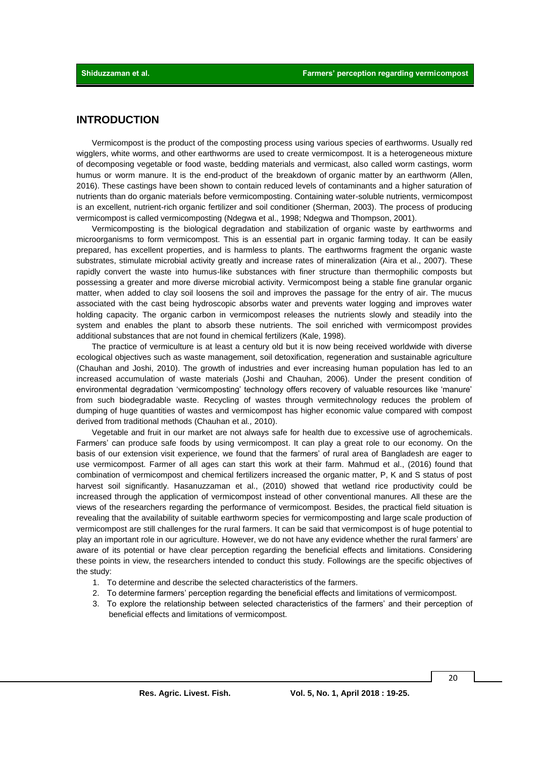### **INTRODUCTION**

Vermicompost is the product of the [composting](https://en.wikipedia.org/wiki/Composting) process using various species of eart[hworms.](https://en.wikipedia.org/wiki/Worm) Usually [red](https://en.wikipedia.org/wiki/Eisenia_foetida) [wigglers,](https://en.wikipedia.org/wiki/Eisenia_foetida) white [worms,](https://en.wikipedia.org/wiki/Enchytraeus_buchholzi) and other [earthworms](https://en.wikipedia.org/wiki/Earthworm) are used to create vermicompost. It is a [heterogeneous](https://en.wikipedia.org/wiki/Heterogeneous) mixture of decomposing vegetable or food waste, bedding materials and vermicast, also called worm castings, worm humus or worm manure. It is the end-product of the breakdown of [organic matter](https://en.wikipedia.org/wiki/Organic_matter) by an [earthworm](https://en.wikipedia.org/wiki/Earthworm) (Allen, 2016). These castings have been shown to contain reduced levels of contaminants and a higher saturation of nutrients than do organic materials before vermicomposting. Containing water-soluble nutrients, vermicompost is an excellent, nutrient-rich [organic fertilizer](https://en.wikipedia.org/wiki/Organic_fertilizer) and soil conditioner (Sherman, 2003). The process of producing vermicompost is called vermicomposting (Ndegwa et al., 1998; Ndegwa and Thompson, 2001).

Vermicomposting is the biological degradation and stabilization of organic waste by earthworms and microorganisms to form vermicompost. This is an essential part in organic farming today. It can be easily prepared, has excellent properties, and is harmless to plants. The earthworms fragment the organic waste substrates, stimulate microbial activity greatly and increase rates of mineralization (Aira et al., 2007). These rapidly convert the waste into humus-like substances with finer structure than thermophilic composts but possessing a greater and more diverse microbial activity. Vermicompost being a stable fine granular organic matter, when added to clay soil loosens the soil and improves the passage for the entry of air. The mucus associated with the cast being hydroscopic absorbs water and prevents water logging and improves water holding capacity. The organic carbon in vermicompost releases the nutrients slowly and steadily into the system and enables the plant to absorb these nutrients. The soil enriched with vermicompost provides additional substances that are not found in chemical fertilizers (Kale, 1998).

The practice of vermiculture is at least a century old but it is now being received worldwide with diverse ecological objectives such as waste management, soil detoxification, regeneration and sustainable agriculture (Chauhan and Joshi, 2010). The growth of industries and ever increasing human population has led to an increased accumulation of waste materials (Joshi and Chauhan, 2006). Under the present condition of environmental degradation 'vermicomposting' technology offers recovery of valuable resources like 'manure' from such biodegradable waste. Recycling of wastes through vermitechnology reduces the problem of dumping of huge quantities of wastes and vermicompost has higher economic value compared with compost derived from traditional methods (Chauhan et al*.,* 2010).

Vegetable and fruit in our market are not always safe for health due to excessive use of agrochemicals. Farmers' can produce safe foods by using vermicompost. It can play a great role to our economy. On the basis of our extension visit experience, we found that the farmers' of rural area of Bangladesh are eager to use vermicompost. Farmer of all ages can start this work at their farm. Mahmud et al., (2016) found that combination of vermicompost and chemical fertilizers increased the organic matter, P, K and S status of post harvest soil significantly. Hasanuzzaman et al., (2010) showed that wetland rice productivity could be increased through the application of vermicompost instead of other conventional manures. All these are the views of the researchers regarding the performance of vermicompost. Besides, the practical field situation is revealing that the availability of suitable earthworm species for vermicomposting and large scale production of vermicompost are still challenges for the rural farmers. It can be said that vermicompost is of huge potential to play an important role in our agriculture. However, we do not have any evidence whether the rural farmers' are aware of its potential or have clear perception regarding the beneficial effects and limitations. Considering these points in view, the researchers intended to conduct this study. Followings are the specific objectives of the study:

- 1. To determine and describe the selected characteristics of the farmers.
- 2. To determine farmers' perception regarding the beneficial effects and limitations of vermicompost.
- 3. To explore the relationship between selected characteristics of the farmers' and their perception of beneficial effects and limitations of vermicompost.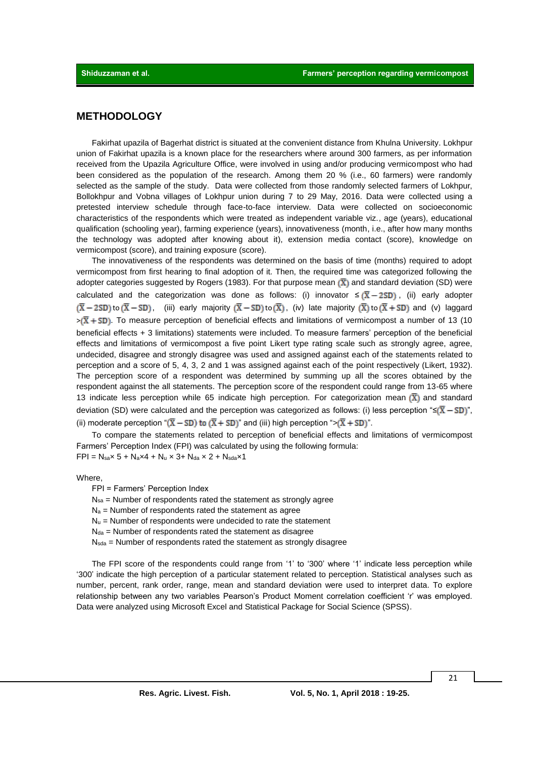## **METHODOLOGY**

Fakirhat upazila of Bagerhat district is situated at the convenient distance from Khulna University. Lokhpur union of Fakirhat upazila is a known place for the researchers where around 300 farmers, as per information received from the Upazila Agriculture Office, were involved in using and/or producing vermicompost who had been considered as the population of the research. Among them 20 % (i.e., 60 farmers) were randomly selected as the sample of the study. Data were collected from those randomly selected farmers of Lokhpur, Bollokhpur and Vobna villages of Lokhpur union during 7 to 29 May, 2016. Data were collected using a pretested interview schedule through face-to-face interview. Data were collected on socioeconomic characteristics of the respondents which were treated as independent variable viz., age (years), educational qualification (schooling year), farming experience (years), innovativeness (month, i.e., after how many months the technology was adopted after knowing about it), extension media contact (score), knowledge on vermicompost (score), and training exposure (score).

The innovativeness of the respondents was determined on the basis of time (months) required to adopt vermicompost from first hearing to final adoption of it. Then, the required time was categorized following the adopter categories suggested by Rogers (1983). For that purpose mean  $(\overline{X})$  and standard deviation (SD) were calculated and the categorization was done as follows: (i) innovator  $\leq (\overline{X} - 2SD)$ , (ii) early adopter  $(\overline{X} - 2SD)$  to  $(\overline{X} - SD)$ , (iii) early majority  $(\overline{X} - SD)$  to  $(\overline{X})$ , (iv) late majority  $(\overline{X})$  to  $(\overline{X} + SD)$  and (v) laggard  $\geq (\overline{X} + SD)$ . To measure perception of beneficial effects and limitations of vermicompost a number of 13 (10) beneficial effects + 3 limitations) statements were included. To measure farmers' perception of the beneficial effects and limitations of vermicompost a five point Likert type rating scale such as strongly agree, agree, undecided, disagree and strongly disagree was used and assigned against each of the statements related to perception and a score of 5, 4, 3, 2 and 1 was assigned against each of the point respectively (Likert, 1932). The perception score of a respondent was determined by summing up all the scores obtained by the respondent against the all statements. The perception score of the respondent could range from 13-65 where 13 indicate less perception while 65 indicate high perception. For categorization mean  $(\overline{X})$  and standard deviation (SD) were calculated and the perception was categorized as follows: (i) less perception " $\leq (\overline{X} - SD)^n$ , (ii) moderate perception " $(\overline{X} - SD)$  to  $(\overline{X} + SD)$ " and (iii) high perception "> $(\overline{X} + SD)$ ".

To compare the statements related to perception of beneficial effects and limitations of vermicompost Farmers' Perception Index (FPI) was calculated by using the following formula:  $FPI = N_{s} \times 5 + N_{a} \times 4 + N_{u} \times 3 + N_{da} \times 2 + N_{s} \times 1$ 

Where,

FPI = Farmers' Perception Index

 $N_{sa}$  = Number of respondents rated the statement as strongly agree

 $N_a$  = Number of respondents rated the statement as agree

 $N<sub>u</sub>$  = Number of respondents were undecided to rate the statement

 $N<sub>da</sub>$  = Number of respondents rated the statement as disagree

Nsda = Number of respondents rated the statement as strongly disagree

The FPI score of the respondents could range from '1' to '300' where '1' indicate less perception while '300' indicate the high perception of a particular statement related to perception. Statistical analyses such as number, percent, rank order, range, mean and standard deviation were used to interpret data. To explore relationship between any two variables Pearson's Product Moment correlation coefficient 'r' was employed. Data were analyzed using Microsoft Excel and Statistical Package for Social Science (SPSS).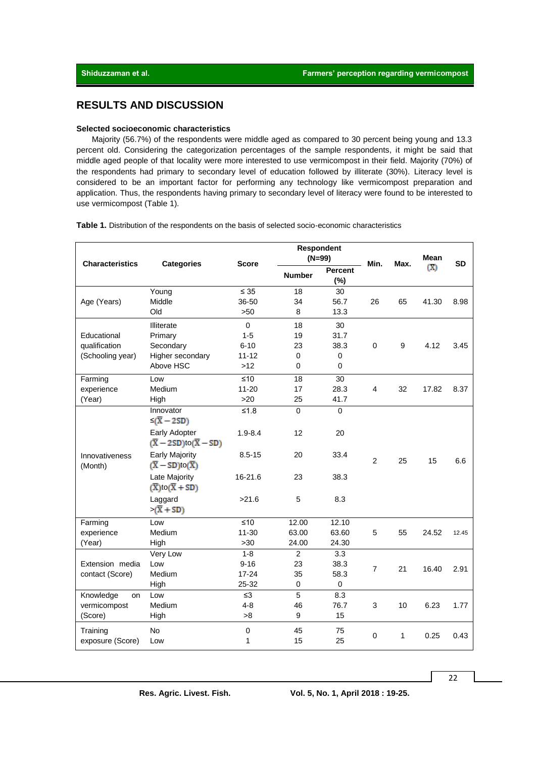# **RESULTS AND DISCUSSION**

#### **Selected socioeconomic characteristics**

Majority (56.7%) of the respondents were middle aged as compared to 30 percent being young and 13.3 percent old. Considering the categorization percentages of the sample respondents, it might be said that middle aged people of that locality were more interested to use vermicompost in their field. Majority (70%) of the respondents had primary to secondary level of education followed by illiterate (30%). Literacy level is considered to be an important factor for performing any technology like vermicompost preparation and application. Thus, the respondents having primary to secondary level of literacy were found to be interested to use vermicompost (Table 1).

**Table 1.** Distribution of the respondents on the basis of selected socio-economic characteristics

| <b>Characteristics</b>       | <b>Categories</b>                                                  | <b>Score</b>          | Respondent<br>$(N=99)$ |                       | Min.           | Max.         | <b>Mean</b> | <b>SD</b> |
|------------------------------|--------------------------------------------------------------------|-----------------------|------------------------|-----------------------|----------------|--------------|-------------|-----------|
|                              |                                                                    |                       | <b>Number</b>          | <b>Percent</b><br>(%) |                |              | (X)         |           |
|                              | Young                                                              | $\leq 35$             | 18                     | 30                    |                |              |             |           |
| Age (Years)                  | Middle                                                             | 36-50                 | 34                     | 56.7                  | 26             | 65           | 41.30       | 8.98      |
|                              | Old                                                                | >50                   | 8                      | 13.3                  |                |              |             |           |
|                              | Illiterate                                                         | $\mathbf{0}$          | 18                     | 30                    |                |              |             |           |
| Educational                  | Primary                                                            | $1 - 5$               | 19                     | 31.7                  |                |              |             |           |
| qualification                | Secondary                                                          | $6 - 10$              | 23                     | 38.3                  | $\mathbf 0$    | 9            | 4.12        | 3.45      |
| (Schooling year)             | Higher secondary                                                   | $11 - 12$             | $\Omega$               | $\mathbf 0$           |                |              |             |           |
|                              | Above HSC                                                          | >12                   | 0                      | 0                     |                |              |             |           |
| Farming                      | Low                                                                | ≤10                   | 18                     | 30                    |                |              |             |           |
| experience                   | Medium                                                             | $11 - 20$             | 17                     | 28.3                  | $\overline{4}$ | 32           | 17.82       | 8.37      |
| (Year)                       | High                                                               | >20                   | 25                     | 41.7                  |                |              |             |           |
|                              | Innovator<br>$\leq$ ( $\overline{X}$ – 2SD)                        | $≤1.8$                | $\Omega$               | $\Omega$              |                |              |             |           |
|                              | Early Adopter<br>$(\overline{X} - 2SD)$ to $(\overline{X} - SD)$   | $1.9 - 8.4$           | 12                     | 20                    |                |              |             |           |
| Innovativeness<br>(Month)    | <b>Early Majority</b><br>$(\overline{X} - SD)$ to $(\overline{X})$ | $8.5 - 15$            | 20                     | 33.4                  | $\overline{2}$ | 25           | 15          | 6.6       |
|                              | Late Majority<br>$(\overline{X})$ to $(\overline{X} + SD)$         | 16-21.6               | 23                     | 38.3                  |                |              |             |           |
|                              | Laggard<br>$>(\overline{X} + SD)$                                  | >21.6                 | 5                      | 8.3                   |                |              |             |           |
| Farming                      | Low                                                                | ≤10                   | 12.00                  | 12.10                 |                |              |             |           |
| experience                   | Medium                                                             | $11 - 30$             | 63.00                  | 63.60                 | 5              | 55           | 24.52       | 12.45     |
| (Year)                       | High                                                               | $>30$                 | 24.00                  | 24.30                 |                |              |             |           |
|                              | Very Low                                                           | $1 - 8$               | $\overline{2}$         | $\overline{3.3}$      |                |              |             |           |
| Extension media              | Low                                                                | $9 - 16$              | 23                     | 38.3                  | $\overline{7}$ | 21           | 16.40       | 2.91      |
| contact (Score)              | Medium                                                             | $17 - 24$             | 35                     | 58.3                  |                |              |             |           |
|                              | High                                                               | 25-32                 | 0                      | 0                     |                |              |             |           |
| Knowledge<br>on              | Low                                                                | $\leq$ 3              | 5                      | 8.3                   |                |              |             |           |
| vermicompost                 | Medium                                                             | $4 - 8$               | 46                     | 76.7                  | 3              | 10           | 6.23        | 1.77      |
| (Score)                      | High                                                               | >8                    | 9                      | 15                    |                |              |             |           |
| Training<br>exposure (Score) | <b>No</b><br>Low                                                   | $\boldsymbol{0}$<br>1 | 45<br>15               | 75<br>25              | $\mathbf 0$    | $\mathbf{1}$ | 0.25        | 0.43      |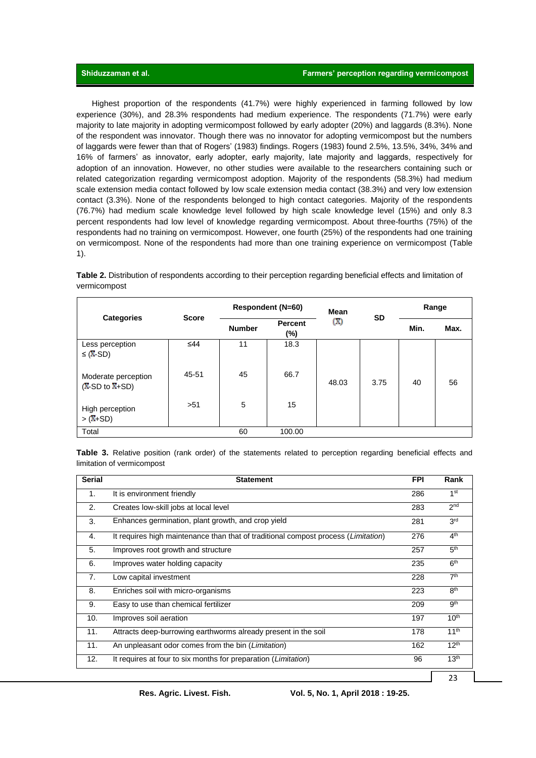Highest proportion of the respondents (41.7%) were highly experienced in farming followed by low experience (30%), and 28.3% respondents had medium experience. The respondents (71.7%) were early majority to late majority in adopting vermicompost followed by early adopter (20%) and laggards (8.3%). None of the respondent was innovator. Though there was no innovator for adopting vermicompost but the numbers of laggards were fewer than that of Rogers' (1983) findings. Rogers (1983) found 2.5%, 13.5%, 34%, 34% and 16% of farmers' as innovator, early adopter, early majority, late majority and laggards, respectively for adoption of an innovation. However, no other studies were available to the researchers containing such or related categorization regarding vermicompost adoption. Majority of the respondents (58.3%) had medium scale extension media contact followed by low scale extension media contact (38.3%) and very low extension contact (3.3%). None of the respondents belonged to high contact categories. Majority of the respondents (76.7%) had medium scale knowledge level followed by high scale knowledge level (15%) and only 8.3 percent respondents had low level of knowledge regarding vermicompost. About three-fourths (75%) of the respondents had no training on vermicompost. However, one fourth (25%) of the respondents had one training on vermicompost. None of the respondents had more than one training experience on vermicompost (Table 1).

|                                           |              | <b>Respondent (N=60)</b> |                | Mean  |           | Range |      |
|-------------------------------------------|--------------|--------------------------|----------------|-------|-----------|-------|------|
| <b>Categories</b>                         | <b>Score</b> | <b>Number</b>            | Percent<br>(%) | Œ)    | <b>SD</b> | Min.  | Max. |
| Less perception<br>$\leq$ ( <b>X</b> -SD) | ≤44          | 11                       | 18.3           |       |           |       |      |
| Moderate perception<br>$(X-SD to X+SD)$   | 45-51        | 45                       | 66.7           | 48.03 | 3.75      | 40    | 56   |
| High perception<br>$>(X+SD)$              | >51          | 5                        | 15             |       |           |       |      |

**Table 2.** Distribution of respondents according to their perception regarding beneficial effects and limitation of vermicompost

**Table 3.** Relative position (rank order) of the statements related to perception regarding beneficial effects and limitation of vermicompost

| <b>Serial</b>  | <b>Statement</b>                                                                            | <b>FPI</b> | Rank             |
|----------------|---------------------------------------------------------------------------------------------|------------|------------------|
| $\mathbf{1}$ . | It is environment friendly                                                                  | 286        | 1 <sup>st</sup>  |
| 2.             | Creates low-skill jobs at local level                                                       | 283        | 2 <sup>nd</sup>  |
| 3.             | Enhances germination, plant growth, and crop yield                                          | 281        | 3 <sup>rd</sup>  |
| 4.             | It requires high maintenance than that of traditional compost process ( <i>Limitation</i> ) | 276        | 4 <sup>th</sup>  |
| 5.             | Improves root growth and structure                                                          | 257        | 5 <sup>th</sup>  |
| 6.             | Improves water holding capacity                                                             | 235        | 6 <sup>th</sup>  |
| 7.             | Low capital investment                                                                      | 228        | 7 <sup>th</sup>  |
| 8.             | Enriches soil with micro-organisms                                                          | 223        | 8 <sup>th</sup>  |
| 9.             | Easy to use than chemical fertilizer                                                        | 209        | gth              |
| 10.            | Improves soil aeration                                                                      | 197        | 10 <sup>th</sup> |
| 11.            | Attracts deep-burrowing earthworms already present in the soil                              | 178        | 11 <sup>th</sup> |
| 11.            | An unpleasant odor comes from the bin ( <i>Limitation</i> )                                 | 162        | $12^{th}$        |
| 12.            | It requires at four to six months for preparation ( <i>Limitation</i> )                     | 96         | 13 <sup>th</sup> |
|                |                                                                                             |            | 23               |

Total 60 100.00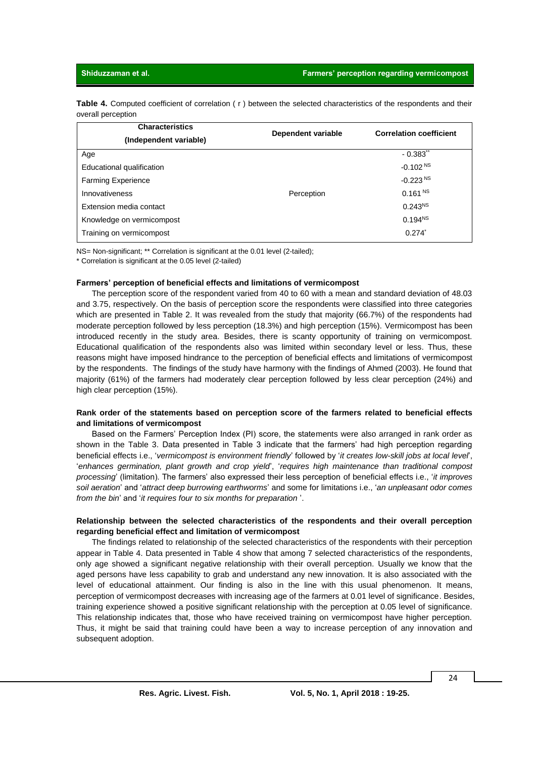**Table 4.** Computed coefficient of correlation ( r ) between the selected characteristics of the respondents and their overall perception

| <b>Characteristics</b>    | Dependent variable | <b>Correlation coefficient</b> |  |  |
|---------------------------|--------------------|--------------------------------|--|--|
| (Independent variable)    |                    |                                |  |  |
| Age                       |                    | $-0.383$ <sup>**</sup>         |  |  |
| Educational qualification |                    | $-0.102NS$                     |  |  |
| <b>Farming Experience</b> |                    | $-0.223NS$                     |  |  |
| Innovativeness            | Perception         | 0.161 <sup>NS</sup>            |  |  |
| Extension media contact   |                    | $0.243^{NS}$                   |  |  |
| Knowledge on vermicompost |                    | $0.194^{NS}$                   |  |  |
| Training on vermicompost  |                    | $0.274^{*}$                    |  |  |

NS= Non-significant; \*\* Correlation is significant at the 0.01 level (2-tailed);

\* Correlation is significant at the 0.05 level (2-tailed)

#### **Farmers' perception of beneficial effects and limitations of vermicompost**

The perception score of the respondent varied from 40 to 60 with a mean and standard deviation of 48.03 and 3.75, respectively. On the basis of perception score the respondents were classified into three categories which are presented in Table 2. It was revealed from the study that majority (66.7%) of the respondents had moderate perception followed by less perception (18.3%) and high perception (15%). Vermicompost has been introduced recently in the study area. Besides, there is scanty opportunity of training on vermicompost. Educational qualification of the respondents also was limited within secondary level or less. Thus, these reasons might have imposed hindrance to the perception of beneficial effects and limitations of vermicompost by the respondents. The findings of the study have harmony with the findings of Ahmed (2003). He found that majority (61%) of the farmers had moderately clear perception followed by less clear perception (24%) and high clear perception (15%).

#### **Rank order of the statements based on perception score of the farmers related to beneficial effects and limitations of vermicompost**

Based on the Farmers' Perception Index (PI) score, the statements were also arranged in rank order as shown in the Table 3. Data presented in Table 3 indicate that the farmers' had high perception regarding beneficial effects i.e., '*vermicompost is environment friendly*' followed by '*it creates low-skill jobs at local level*', '*enhances germination, plant growth and crop yield*', '*requires high maintenance than traditional compost processing*' (limitation). The farmers' also expressed their less perception of beneficial effects i.e., '*it improves soil aeration*' and '*attract deep burrowing earthworms*' and some for limitations i.e., '*an unpleasant odor comes from the bin*' and '*it requires four to six months for preparation* '.

#### **Relationship between the selected characteristics of the respondents and their overall perception regarding beneficial effect and limitation of vermicompost**

The findings related to relationship of the selected characteristics of the respondents with their perception appear in Table 4. Data presented in Table 4 show that among 7 selected characteristics of the respondents, only age showed a significant negative relationship with their overall perception. Usually we know that the aged persons have less capability to grab and understand any new innovation. It is also associated with the level of educational attainment. Our finding is also in the line with this usual phenomenon. It means, perception of vermicompost decreases with increasing age of the farmers at 0.01 level of significance. Besides, training experience showed a positive significant relationship with the perception at 0.05 level of significance. This relationship indicates that, those who have received training on vermicompost have higher perception. Thus, it might be said that training could have been a way to increase perception of any innovation and subsequent adoption.